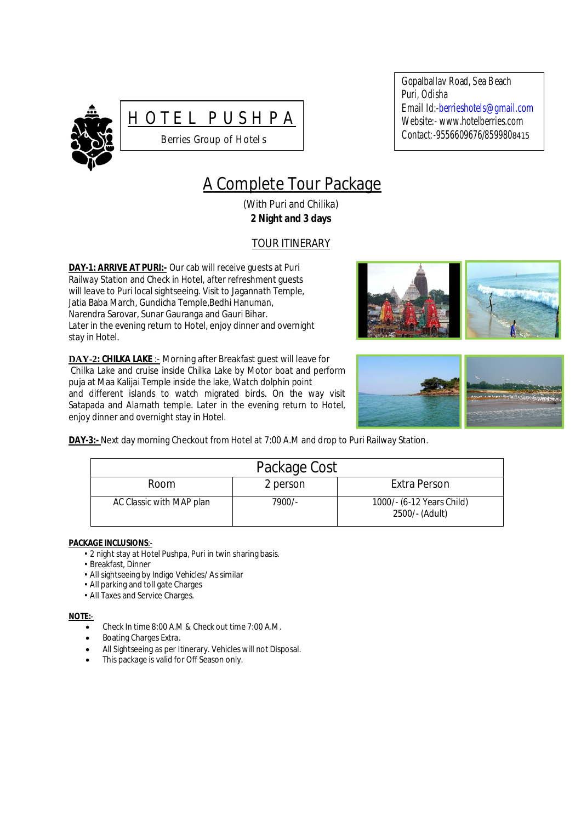



Gopalballav Road, Sea Beach Puri, Odisha Email Id:-berrieshotels@gmail.com Website:- www.hotelberries.com Contact*:-*9556609676/8599808415

# A Complete Tour Package

(With Puri and Chilika) **2 Night and 3 days**

## TOUR ITINERARY

**DAY-1: ARRIVE AT PURI:-** Our cab will receive guests at Puri Railway Station and Check in Hotel, after refreshment guests will leave to Puri local sightseeing. Visit to Jagannath Temple, Jatia Baba March, Gundicha Temple,Bedhi Hanuman, Narendra Sarovar, Sunar Gauranga and Gauri Bihar. Later in the evening return to Hotel, enjoy dinner and overnight stay in Hotel*.*

**DAY-2: CHILKA LAKE** :- Morning after Breakfast guest will leave for Chilka Lake and cruise inside Chilka Lake by Motor boat and perform puja at Maa Kalijai Temple inside the lake, Watch dolphin point and different islands to watch migrated birds. On the way visit Satapada and Alarnath temple. Later in the evening return to Hotel, enjoy dinner and overnight stay in Hotel.





**DAY-3:-** Next day morning Checkout from Hotel at 7:00 A.M and drop to Puri Railway Station.

| Package Cost             |          |                                             |  |
|--------------------------|----------|---------------------------------------------|--|
| Room                     | 2 person | Extra Person                                |  |
| AC Classic with MAP plan | 7900/-   | 1000/- (6-12 Years Child)<br>2500/- (Adult) |  |

#### **PACKAGE INCLUSIONS**:-

- 2 night stay at Hotel Pushpa, Puri in twin sharing basis.
- Breakfast, Dinner
- All sightseeing by Indigo Vehicles/ As similar
- All parking and toll gate Charges
- All Taxes and Service Charges.

#### **NOTE:**-

- Check In time 8:00 A.M & Check out time 7:00 A.M.
- Boating Charges Extra.
- All Sightseeing as per Itinerary. Vehicles will not Disposal.
- This package is valid for Off Season only.